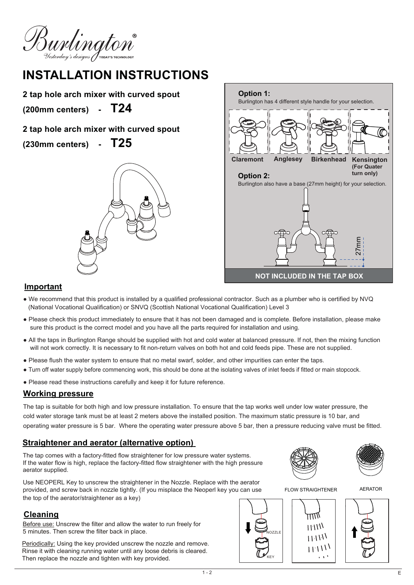Burlington

# **INSTALLATION INSTRUCTIONS**

**2 tap hole arch mixer with curved spout**

**(200mm centers) - T24**

- **2 tap hole arch mixer with curved spout**
- **(230mm centers) - T25**





#### **Important**

- We recommend that this product is installed by a qualified professional contractor. Such as a plumber who is certified by NVQ (National Vocational Qualification) or SNVQ (Scottish National Vocational Qualification) Level 3
- Please check this product immediately to ensure that it has not been damaged and is complete. Before installation, please make sure this product is the correct model and you have all the parts required for installation and using.
- All the taps in Burlington Range should be supplied with hot and cold water at balanced pressure. If not, then the mixing function will not work correctly. It is necessary to fit non-return valves on both hot and cold feeds pipe. These are not supplied.
- Please flush the water system to ensure that no metal swarf, solder, and other impurities can enter the taps.
- Turn off water supply before commencing work, this should be done at the isolating valves of inlet feeds if fitted or main stopcock.
- Please read these instructions carefully and keep it for future reference.

#### **Working pressure**

The tap is suitable for both high and low pressure installation. To ensure that the tap works well under low water pressure, the cold water storage tank must be at least 2 meters above the installed position. The maximum static pressure is 10 bar, and operating water pressure is 5 bar. Where the operating water pressure above 5 bar, then a pressure reducing valve must be fitted.

## **Straightener and aerator (alternative option)**

The tap comes with a factory-fitted flow straightener for low pressure water systems. If the water flow is high, replace the factory-fitted flow straightener with the high pressure aerator supplied.



FLOW STRAIGHTENER



AERATOR



Use NEOPERL Key to unscrew the straightener in the Nozzle. Replace with the aerator provided, and screw back in nozzle tightly. (If you misplace the Neoperl key you can use the top of the aerator/straightener as a key)

## **Cleaning**

Before use: Unscrew the filter and allow the water to run freely for 5 minutes. Then screw the filter back in place.

Periodically: Using the key provided unscrew the nozzle and remove. Rinse it with cleaning running water until any loose debris is cleared. Then replace the nozzle and tighten with key provided.